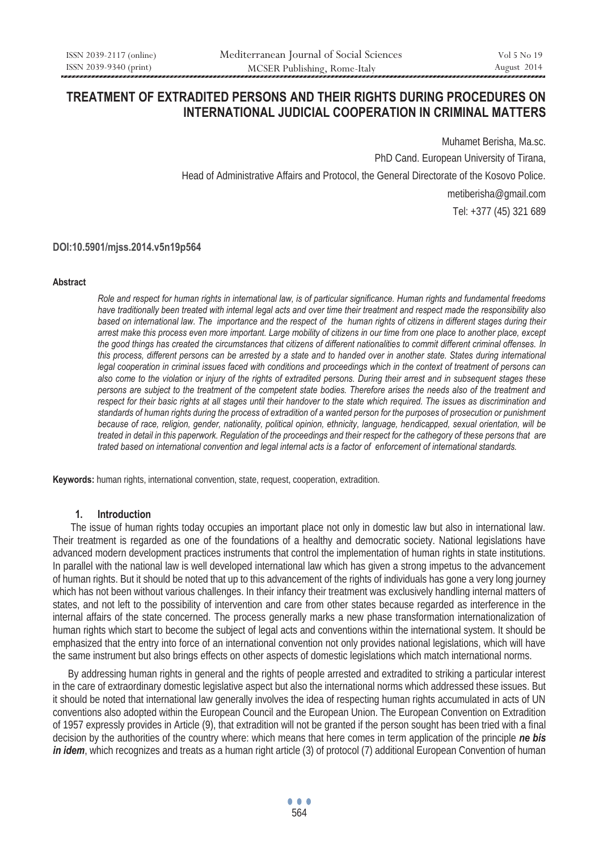# **TREATMENT OF EXTRADITED PERSONS AND THEIR RIGHTS DURING PROCEDURES ON INTERNATIONAL JUDICIAL COOPERATION IN CRIMINAL MATTERS**

Muhamet Berisha, Ma.sc. PhD Cand. European University of Tirana, Head of Administrative Affairs and Protocol, the General Directorate of the Kosovo Police. metiberisha@gmail.com Tel: +377 (45) 321 689

### **DOI:10.5901/mjss.2014.v5n19p564**

#### **Abstract**

*Role and respect for human rights in international law, is of particular significance. Human rights and fundamental freedoms have traditionally been treated with internal legal acts and over time their treatment and respect made the responsibility also based on international law. The importance and the respect of the human rights of citizens in different stages during their arrest make this process even more important. Large mobility of citizens in our time from one place to another place, except the good things has created the circumstances that citizens of different nationalities to commit different criminal offenses. In*  this process, different persons can be arrested by a state and to handed over in another state. States during international legal cooperation in criminal issues faced with conditions and proceedings which in the context of treatment of persons can *also come to the violation or injury of the rights of extradited persons. During their arrest and in subsequent stages these persons are subject to the treatment of the competent state bodies. Therefore arises the needs also of the treatment and respect for their basic rights at all stages until their handover to the state which required. The issues as discrimination and standards of human rights during the process of extradition of a wanted person for the purposes of prosecution or punishment because of race, religion, gender, nationality, political opinion, ethnicity, language, hendicapped, sexual orientation, will be treated in detail in this paperwork. Regulation of the proceedings and their respect for the cathegory of these persons that are trated based on international convention and legal internal acts is a factor of enforcement of international standards.* 

**Keywords:** human rights, international convention, state, request, cooperation, extradition.

### **1. Introduction**

 The issue of human rights today occupies an important place not only in domestic law but also in international law. Their treatment is regarded as one of the foundations of a healthy and democratic society. National legislations have advanced modern development practices instruments that control the implementation of human rights in state institutions. In parallel with the national law is well developed international law which has given a strong impetus to the advancement of human rights. But it should be noted that up to this advancement of the rights of individuals has gone a very long journey which has not been without various challenges. In their infancy their treatment was exclusively handling internal matters of states, and not left to the possibility of intervention and care from other states because regarded as interference in the internal affairs of the state concerned. The process generally marks a new phase transformation internationalization of human rights which start to become the subject of legal acts and conventions within the international system. It should be emphasized that the entry into force of an international convention not only provides national legislations, which will have the same instrument but also brings effects on other aspects of domestic legislations which match international norms.

 By addressing human rights in general and the rights of people arrested and extradited to striking a particular interest in the care of extraordinary domestic legislative aspect but also the international norms which addressed these issues. But it should be noted that international law generally involves the idea of respecting human rights accumulated in acts of UN conventions also adopted within the European Council and the European Union. The European Convention on Extradition of 1957 expressly provides in Article (9), that extradition will not be granted if the person sought has been tried with a final decision by the authorities of the country where: which means that here comes in term application of the principle *ne bis in idem*, which recognizes and treats as a human right article (3) of protocol (7) additional European Convention of human

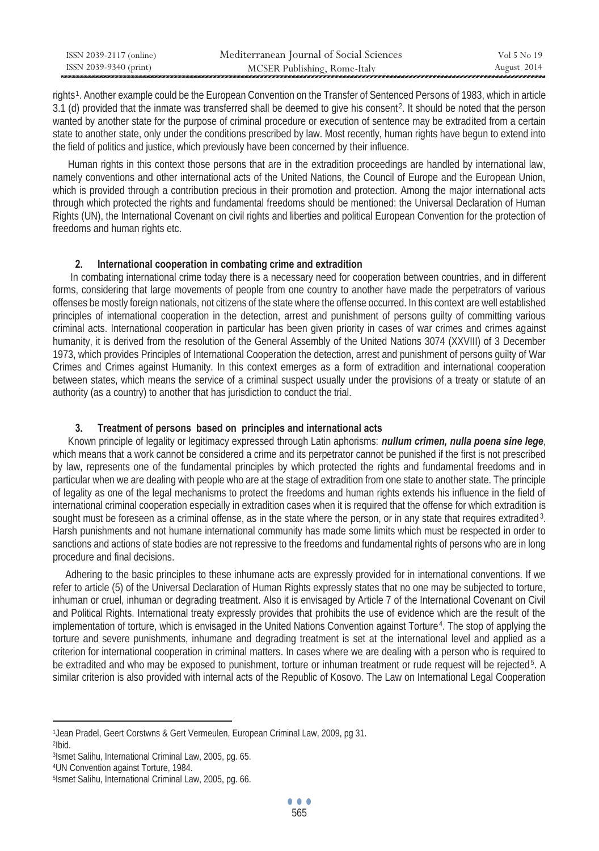| ISSN 2039-2117 (online) | Mediterranean Journal of Social Sciences | Vol 5 No 19 |
|-------------------------|------------------------------------------|-------------|
| ISSN 2039-9340 (print)  | MCSER Publishing, Rome-Italy             | August 2014 |

rights<sup>1</sup>. Another example could be the European Convention on the Transfer of Sentenced Persons of 1983, which in article 3.1 (d) provided that the inmate was transferred shall be deemed to give his consent<sup>2</sup>. It should be noted that the person wanted by another state for the purpose of criminal procedure or execution of sentence may be extradited from a certain state to another state, only under the conditions prescribed by law. Most recently, human rights have begun to extend into the field of politics and justice, which previously have been concerned by their influence.

 Human rights in this context those persons that are in the extradition proceedings are handled by international law, namely conventions and other international acts of the United Nations, the Council of Europe and the European Union, which is provided through a contribution precious in their promotion and protection. Among the major international acts through which protected the rights and fundamental freedoms should be mentioned: the Universal Declaration of Human Rights (UN), the International Covenant on civil rights and liberties and political European Convention for the protection of freedoms and human rights etc.

## **2. International cooperation in combating crime and extradition**

 In combating international crime today there is a necessary need for cooperation between countries, and in different forms, considering that large movements of people from one country to another have made the perpetrators of various offenses be mostly foreign nationals, not citizens of the state where the offense occurred. In this context are well established principles of international cooperation in the detection, arrest and punishment of persons guilty of committing various criminal acts. International cooperation in particular has been given priority in cases of war crimes and crimes against humanity, it is derived from the resolution of the General Assembly of the United Nations 3074 (XXVIII) of 3 December 1973, which provides Principles of International Cooperation the detection, arrest and punishment of persons guilty of War Crimes and Crimes against Humanity. In this context emerges as a form of extradition and international cooperation between states, which means the service of a criminal suspect usually under the provisions of a treaty or statute of an authority (as a country) to another that has jurisdiction to conduct the trial.

### **3. Treatment of persons based on principles and international acts**

 Known principle of legality or legitimacy expressed through Latin aphorisms: *nullum crimen, nulla poena sine lege*, which means that a work cannot be considered a crime and its perpetrator cannot be punished if the first is not prescribed by law, represents one of the fundamental principles by which protected the rights and fundamental freedoms and in particular when we are dealing with people who are at the stage of extradition from one state to another state. The principle of legality as one of the legal mechanisms to protect the freedoms and human rights extends his influence in the field of international criminal cooperation especially in extradition cases when it is required that the offense for which extradition is sought must be foreseen as a criminal offense, as in the state where the person, or in any state that requires extradited<sup>3</sup>. Harsh punishments and not humane international community has made some limits which must be respected in order to sanctions and actions of state bodies are not repressive to the freedoms and fundamental rights of persons who are in long procedure and final decisions.

 Adhering to the basic principles to these inhumane acts are expressly provided for in international conventions. If we refer to article (5) of the Universal Declaration of Human Rights expressly states that no one may be subjected to torture, inhuman or cruel, inhuman or degrading treatment. Also it is envisaged by Article 7 of the International Covenant on Civil and Political Rights. International treaty expressly provides that prohibits the use of evidence which are the result of the implementation of torture, which is envisaged in the United Nations Convention against Torture<sup>4</sup>. The stop of applying the torture and severe punishments, inhumane and degrading treatment is set at the international level and applied as a criterion for international cooperation in criminal matters. In cases where we are dealing with a person who is required to be extradited and who may be exposed to punishment, torture or inhuman treatment or rude request will be rejected<sup>5</sup>. A similar criterion is also provided with internal acts of the Republic of Kosovo. The Law on International Legal Cooperation

 $\overline{a}$ 1Jean Pradel, Geert Corstwns & Gert Vermeulen, European Criminal Law, 2009, pg 31. 2Ibid.

<sup>3</sup>Ismet Salihu, International Criminal Law, 2005, pg. 65.<br>4UN Convention against Torture, 1984.<br>5Ismet Salihu, International Criminal Law, 2005, pg. 66.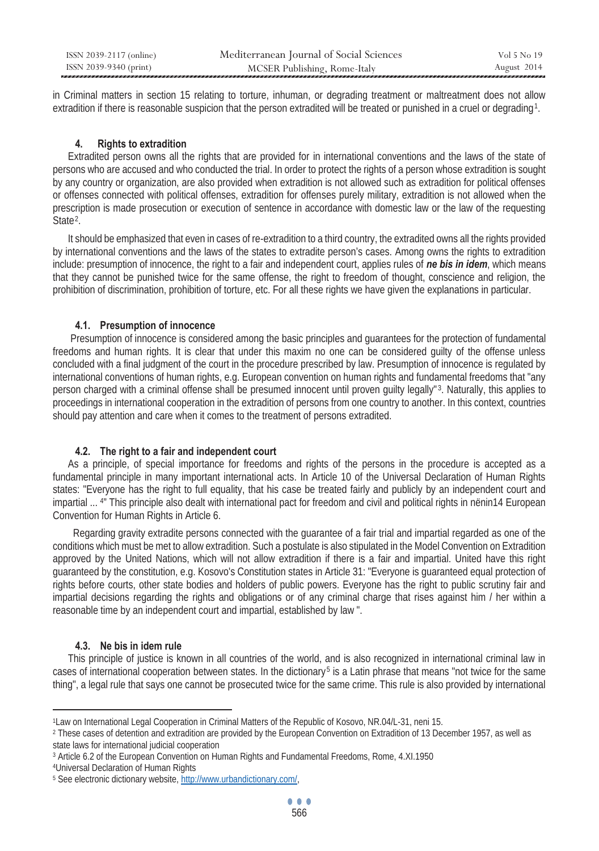| ISSN 2039-2117 (online) | Mediterranean Journal of Social Sciences | Vol 5 No 19 |
|-------------------------|------------------------------------------|-------------|
| ISSN 2039-9340 (print)  | MCSER Publishing, Rome-Italy             | August 2014 |

in Criminal matters in section 15 relating to torture, inhuman, or degrading treatment or maltreatment does not allow extradition if there is reasonable suspicion that the person extradited will be treated or punished in a cruel or degrading<sup>1</sup>.

### **4. Rights to extradition**

 Extradited person owns all the rights that are provided for in international conventions and the laws of the state of persons who are accused and who conducted the trial. In order to protect the rights of a person whose extradition is sought by any country or organization, are also provided when extradition is not allowed such as extradition for political offenses or offenses connected with political offenses, extradition for offenses purely military, extradition is not allowed when the prescription is made prosecution or execution of sentence in accordance with domestic law or the law of the requesting State $2$ .

 It should be emphasized that even in cases of re-extradition to a third country, the extradited owns all the rights provided by international conventions and the laws of the states to extradite person's cases. Among owns the rights to extradition include: presumption of innocence, the right to a fair and independent court, applies rules of *ne bis in idem*, which means that they cannot be punished twice for the same offense, the right to freedom of thought, conscience and religion, the prohibition of discrimination, prohibition of torture, etc. For all these rights we have given the explanations in particular.

### **4.1. Presumption of innocence**

 Presumption of innocence is considered among the basic principles and guarantees for the protection of fundamental freedoms and human rights. It is clear that under this maxim no one can be considered guilty of the offense unless concluded with a final judgment of the court in the procedure prescribed by law. Presumption of innocence is regulated by international conventions of human rights, e.g. European convention on human rights and fundamental freedoms that "any person charged with a criminal offense shall be presumed innocent until proven guilty legally"<sup>3</sup>. Naturally, this applies to proceedings in international cooperation in the extradition of persons from one country to another. In this context, countries should pay attention and care when it comes to the treatment of persons extradited.

### **4.2. The right to a fair and independent court**

 As a principle, of special importance for freedoms and rights of the persons in the procedure is accepted as a fundamental principle in many important international acts. In Article 10 of the Universal Declaration of Human Rights states: "Everyone has the right to full equality, that his case be treated fairly and publicly by an independent court and impartial ... <sup>4</sup>" This principle also dealt with international pact for freedom and civil and political rights in nënin14 European Convention for Human Rights in Article 6.

 Regarding gravity extradite persons connected with the guarantee of a fair trial and impartial regarded as one of the conditions which must be met to allow extradition. Such a postulate is also stipulated in the Model Convention on Extradition approved by the United Nations, which will not allow extradition if there is a fair and impartial. United have this right guaranteed by the constitution, e.g. Kosovo's Constitution states in Article 31: "Everyone is guaranteed equal protection of rights before courts, other state bodies and holders of public powers. Everyone has the right to public scrutiny fair and impartial decisions regarding the rights and obligations or of any criminal charge that rises against him / her within a reasonable time by an independent court and impartial, established by law ".

# **4.3. Ne bis in idem rule**

 $\overline{a}$ 

 This principle of justice is known in all countries of the world, and is also recognized in international criminal law in cases of international cooperation between states. In the dictionary<sup>5</sup> is a Latin phrase that means "not twice for the same thing", a legal rule that says one cannot be prosecuted twice for the same crime. This rule is also provided by international

<sup>1</sup>Law on International Legal Cooperation in Criminal Matters of the Republic of Kosovo, NR.04/L-31, neni 15.<br><sup>2</sup> These cases of detention and extradition are provided by the European Convention on Extradition of 13 Decemb state laws for international judicial cooperation

<sup>&</sup>lt;sup>3</sup> Article 6.2 of the European Convention on Human Rights and Fundamental Freedoms, Rome, 4.XI.1950 4Universal Declaration of Human Rights

<sup>5</sup> See electronic dictionary website, http://www.urbandictionary.com/,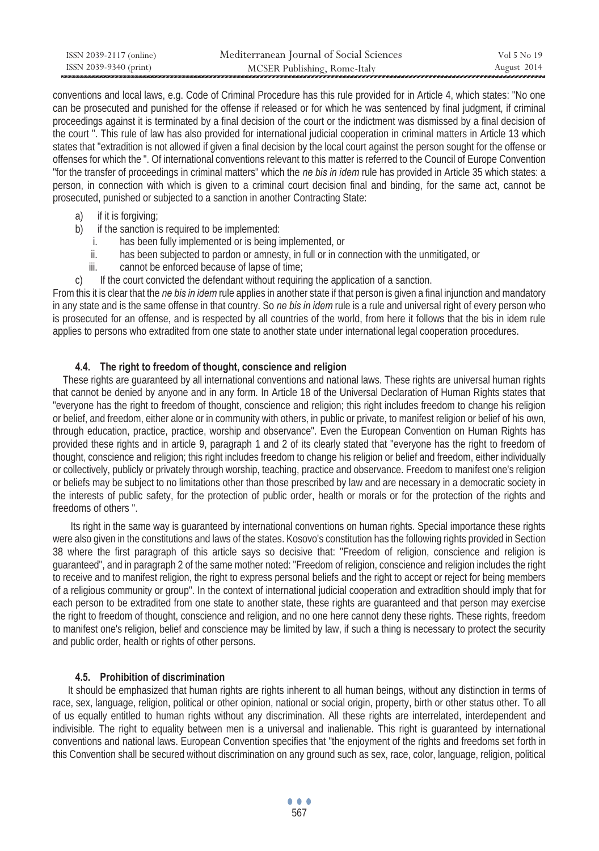| ISSN 2039-2117 (online) | Mediterranean Journal of Social Sciences | Vol 5 No 19 |
|-------------------------|------------------------------------------|-------------|
| ISSN 2039-9340 (print)  | MCSER Publishing, Rome-Italy             | August 2014 |

conventions and local laws, e.g. Code of Criminal Procedure has this rule provided for in Article 4, which states: "No one can be prosecuted and punished for the offense if released or for which he was sentenced by final judgment, if criminal proceedings against it is terminated by a final decision of the court or the indictment was dismissed by a final decision of the court ". This rule of law has also provided for international judicial cooperation in criminal matters in Article 13 which states that "extradition is not allowed if given a final decision by the local court against the person sought for the offense or offenses for which the ". Of international conventions relevant to this matter is referred to the Council of Europe Convention "for the transfer of proceedings in criminal matters" which the *ne bis in idem* rule has provided in Article 35 which states: a person, in connection with which is given to a criminal court decision final and binding, for the same act, cannot be prosecuted, punished or subjected to a sanction in another Contracting State:

- a) if it is forgiving;
- b) if the sanction is required to be implemented:
	- i. has been fully implemented or is being implemented, or
	- ii. has been subjected to pardon or amnesty, in full or in connection with the unmitigated, or
	- iii. cannot be enforced because of lapse of time;
- c) If the court convicted the defendant without requiring the application of a sanction.

From this it is clear that the *ne bis in idem* rule applies in another state if that person is given a final injunction and mandatory in any state and is the same offense in that country. So *ne bis in idem* rule is a rule and universal right of every person who is prosecuted for an offense, and is respected by all countries of the world, from here it follows that the bis in idem rule applies to persons who extradited from one state to another state under international legal cooperation procedures.

# **4.4. The right to freedom of thought, conscience and religion**

 These rights are guaranteed by all international conventions and national laws. These rights are universal human rights that cannot be denied by anyone and in any form. In Article 18 of the Universal Declaration of Human Rights states that "everyone has the right to freedom of thought, conscience and religion; this right includes freedom to change his religion or belief, and freedom, either alone or in community with others, in public or private, to manifest religion or belief of his own, through education, practice, practice, worship and observance". Even the European Convention on Human Rights has provided these rights and in article 9, paragraph 1 and 2 of its clearly stated that "everyone has the right to freedom of thought, conscience and religion; this right includes freedom to change his religion or belief and freedom, either individually or collectively, publicly or privately through worship, teaching, practice and observance. Freedom to manifest one's religion or beliefs may be subject to no limitations other than those prescribed by law and are necessary in a democratic society in the interests of public safety, for the protection of public order, health or morals or for the protection of the rights and freedoms of others ".

 Its right in the same way is guaranteed by international conventions on human rights. Special importance these rights were also given in the constitutions and laws of the states. Kosovo's constitution has the following rights provided in Section 38 where the first paragraph of this article says so decisive that: "Freedom of religion, conscience and religion is guaranteed", and in paragraph 2 of the same mother noted: "Freedom of religion, conscience and religion includes the right to receive and to manifest religion, the right to express personal beliefs and the right to accept or reject for being members of a religious community or group". In the context of international judicial cooperation and extradition should imply that for each person to be extradited from one state to another state, these rights are guaranteed and that person may exercise the right to freedom of thought, conscience and religion, and no one here cannot deny these rights. These rights, freedom to manifest one's religion, belief and conscience may be limited by law, if such a thing is necessary to protect the security and public order, health or rights of other persons.

# **4.5. Prohibition of discrimination**

 It should be emphasized that human rights are rights inherent to all human beings, without any distinction in terms of race, sex, language, religion, political or other opinion, national or social origin, property, birth or other status other. To all of us equally entitled to human rights without any discrimination. All these rights are interrelated, interdependent and indivisible. The right to equality between men is a universal and inalienable. This right is guaranteed by international conventions and national laws. European Convention specifies that "the enjoyment of the rights and freedoms set forth in this Convention shall be secured without discrimination on any ground such as sex, race, color, language, religion, political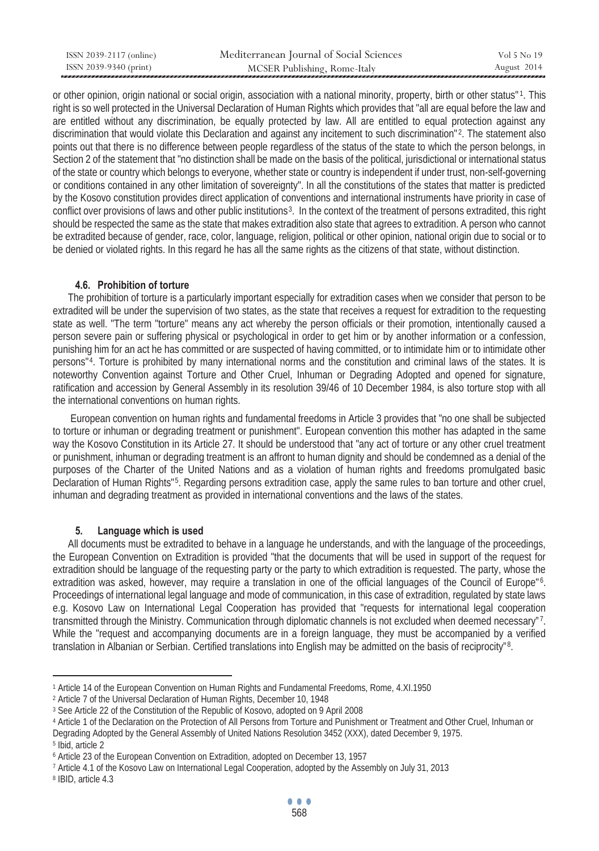| ISSN 2039-2117 (online) | Mediterranean Journal of Social Sciences | Vol 5 No 19 |
|-------------------------|------------------------------------------|-------------|
| ISSN 2039-9340 (print)  | MCSER Publishing, Rome-Italy             | August 2014 |

or other opinion, origin national or social origin, association with a national minority, property, birth or other status"1. This right is so well protected in the Universal Declaration of Human Rights which provides that "all are equal before the law and are entitled without any discrimination, be equally protected by law. All are entitled to equal protection against any discrimination that would violate this Declaration and against any incitement to such discrimination"<sup>2</sup>. The statement also points out that there is no difference between people regardless of the status of the state to which the person belongs, in Section 2 of the statement that "no distinction shall be made on the basis of the political, jurisdictional or international status of the state or country which belongs to everyone, whether state or country is independent if under trust, non-self-governing or conditions contained in any other limitation of sovereignty". In all the constitutions of the states that matter is predicted by the Kosovo constitution provides direct application of conventions and international instruments have priority in case of conflict over provisions of laws and other public institutions<sup>3</sup>. In the context of the treatment of persons extradited, this right should be respected the same as the state that makes extradition also state that agrees to extradition. A person who cannot be extradited because of gender, race, color, language, religion, political or other opinion, national origin due to social or to be denied or violated rights. In this regard he has all the same rights as the citizens of that state, without distinction.

#### **4.6. Prohibition of torture**

 The prohibition of torture is a particularly important especially for extradition cases when we consider that person to be extradited will be under the supervision of two states, as the state that receives a request for extradition to the requesting state as well. "The term "torture" means any act whereby the person officials or their promotion, intentionally caused a person severe pain or suffering physical or psychological in order to get him or by another information or a confession, punishing him for an act he has committed or are suspected of having committed, or to intimidate him or to intimidate other persons"<sup>4</sup>. Torture is prohibited by many international norms and the constitution and criminal laws of the states. It is noteworthy Convention against Torture and Other Cruel, Inhuman or Degrading Adopted and opened for signature, ratification and accession by General Assembly in its resolution 39/46 of 10 December 1984, is also torture stop with all the international conventions on human rights.

 European convention on human rights and fundamental freedoms in Article 3 provides that "no one shall be subjected to torture or inhuman or degrading treatment or punishment". European convention this mother has adapted in the same way the Kosovo Constitution in its Article 27. It should be understood that "any act of torture or any other cruel treatment or punishment, inhuman or degrading treatment is an affront to human dignity and should be condemned as a denial of the purposes of the Charter of the United Nations and as a violation of human rights and freedoms promulgated basic Declaration of Human Rights"<sup>5</sup>. Regarding persons extradition case, apply the same rules to ban torture and other cruel, inhuman and degrading treatment as provided in international conventions and the laws of the states.

### **5. Language which is used**

 All documents must be extradited to behave in a language he understands, and with the language of the proceedings, the European Convention on Extradition is provided "that the documents that will be used in support of the request for extradition should be language of the requesting party or the party to which extradition is requested. The party, whose the extradition was asked, however, may require a translation in one of the official languages of the Council of Europe"<sup>6</sup>. Proceedings of international legal language and mode of communication, in this case of extradition, regulated by state laws e.g. Kosovo Law on International Legal Cooperation has provided that "requests for international legal cooperation transmitted through the Ministry. Communication through diplomatic channels is not excluded when deemed necessary"<sup>7</sup>. While the "request and accompanying documents are in a foreign language, they must be accompanied by a verified translation in Albanian or Serbian. Certified translations into English may be admitted on the basis of reciprocity"<sup>8</sup>.

 $\overline{a}$ 

<sup>&</sup>lt;sup>1</sup> Article 14 of the European Convention on Human Rights and Fundamental Freedoms, Rome, 4.XI.1950<br>
<sup>2</sup> Article 7 of the Universal Declaration of Human Rights, December 10, 1948<br>
<sup>3</sup> See Article 22 of the Constitution of Degrading Adopted by the General Assembly of United Nations Resolution 3452 (XXX), dated December 9, 1975.<br><sup>5</sup> Ibid. article 2

<sup>&</sup>lt;sup>6</sup> Article 23 of the European Convention on Extradition, adopted on December 13, 1957<br><sup>7</sup> Article 4.1 of the Kosovo Law on International Legal Cooperation, adopted by the Assembly on July 31, 2013<br><sup>8</sup> IBID, article 4.3